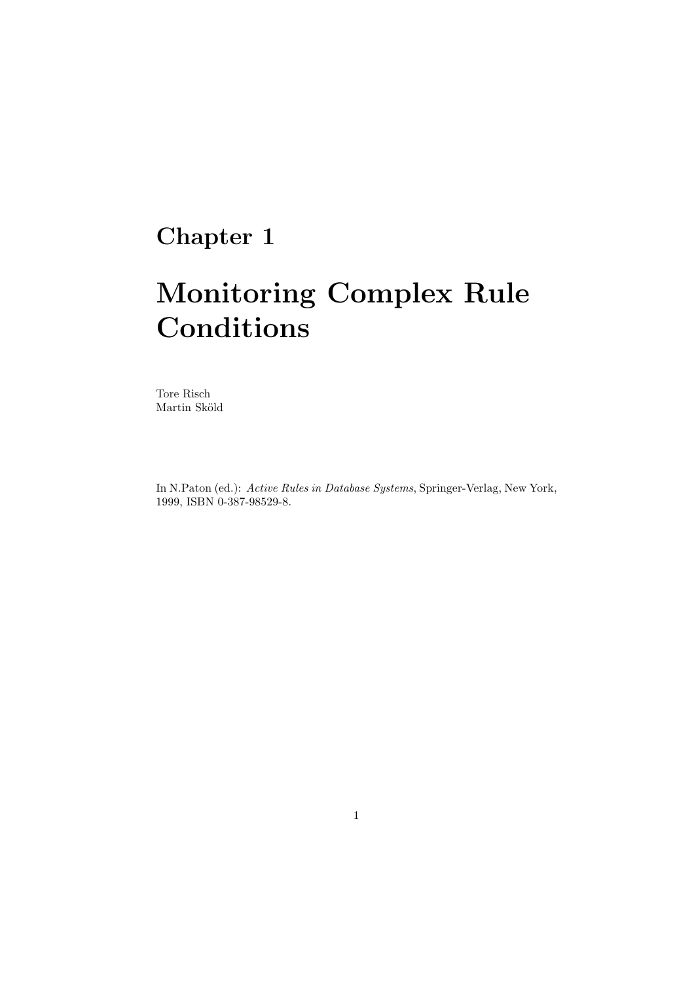## **Chapter 1**

# **Monitoring Complex Rule Conditions**

Tore Risch Martin Sköld

In N.Paton (ed.): *Active Rules in Database Systems*, Springer-Verlag, New York, 1999, ISBN 0-387-98529-8.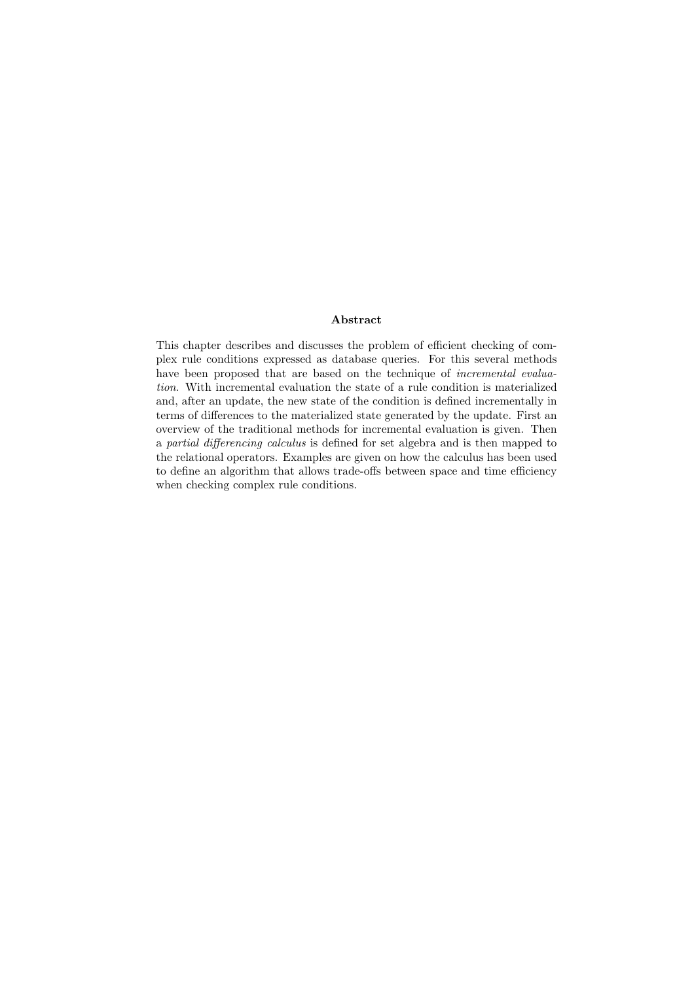## **Abstract**

This chapter describes and discusses the problem of efficient checking of complex rule conditions expressed as database queries. For this several methods have been proposed that are based on the technique of *incremental evaluation*. With incremental evaluation the state of a rule condition is materialized and, after an update, the new state of the condition is defined incrementally in terms of differences to the materialized state generated by the update. First an overview of the traditional methods for incremental evaluation is given. Then a *partial differencing calculus* is defined for set algebra and is then mapped to the relational operators. Examples are given on how the calculus has been used to define an algorithm that allows trade-offs between space and time efficiency when checking complex rule conditions.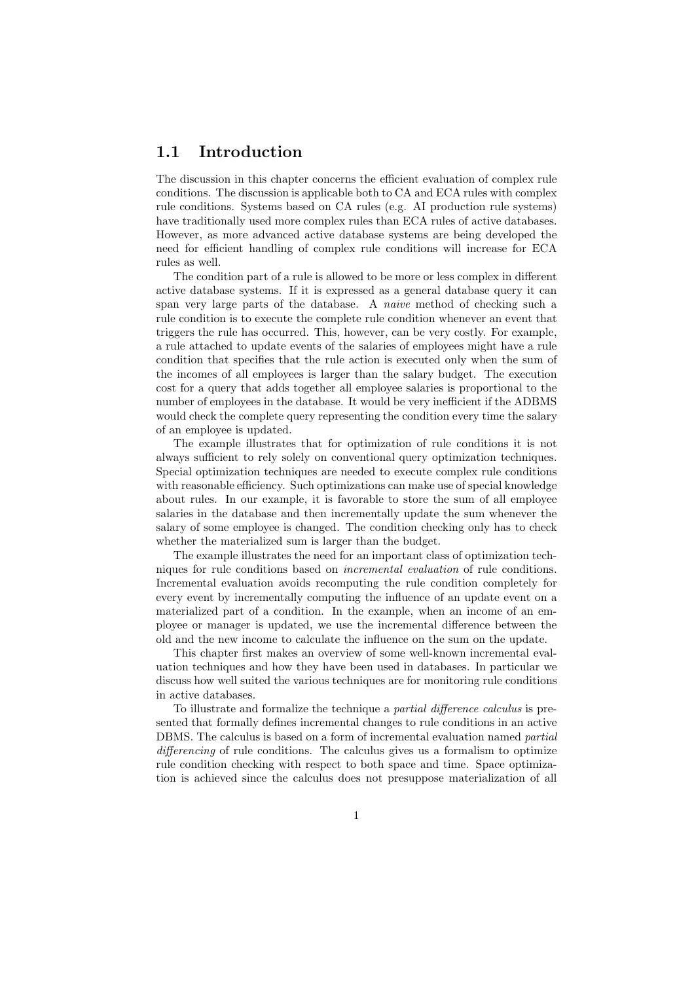## **1.1 Introduction**

The discussion in this chapter concerns the efficient evaluation of complex rule conditions. The discussion is applicable both to CA and ECA rules with complex rule conditions. Systems based on CA rules (e.g. AI production rule systems) have traditionally used more complex rules than ECA rules of active databases. However, as more advanced active database systems are being developed the need for efficient handling of complex rule conditions will increase for ECA rules as well.

The condition part of a rule is allowed to be more or less complex in different active database systems. If it is expressed as a general database query it can span very large parts of the database. A *naive* method of checking such a rule condition is to execute the complete rule condition whenever an event that triggers the rule has occurred. This, however, can be very costly. For example, a rule attached to update events of the salaries of employees might have a rule condition that specifies that the rule action is executed only when the sum of the incomes of all employees is larger than the salary budget. The execution cost for a query that adds together all employee salaries is proportional to the number of employees in the database. It would be very inefficient if the ADBMS would check the complete query representing the condition every time the salary of an employee is updated.

The example illustrates that for optimization of rule conditions it is not always sufficient to rely solely on conventional query optimization techniques. Special optimization techniques are needed to execute complex rule conditions with reasonable efficiency. Such optimizations can make use of special knowledge about rules. In our example, it is favorable to store the sum of all employee salaries in the database and then incrementally update the sum whenever the salary of some employee is changed. The condition checking only has to check whether the materialized sum is larger than the budget.

The example illustrates the need for an important class of optimization techniques for rule conditions based on *incremental evaluation* of rule conditions. Incremental evaluation avoids recomputing the rule condition completely for every event by incrementally computing the influence of an update event on a materialized part of a condition. In the example, when an income of an employee or manager is updated, we use the incremental difference between the old and the new income to calculate the influence on the sum on the update.

This chapter first makes an overview of some well-known incremental evaluation techniques and how they have been used in databases. In particular we discuss how well suited the various techniques are for monitoring rule conditions in active databases.

To illustrate and formalize the technique a *partial difference calculus* is presented that formally defines incremental changes to rule conditions in an active DBMS. The calculus is based on a form of incremental evaluation named *partial differencing* of rule conditions. The calculus gives us a formalism to optimize rule condition checking with respect to both space and time. Space optimization is achieved since the calculus does not presuppose materialization of all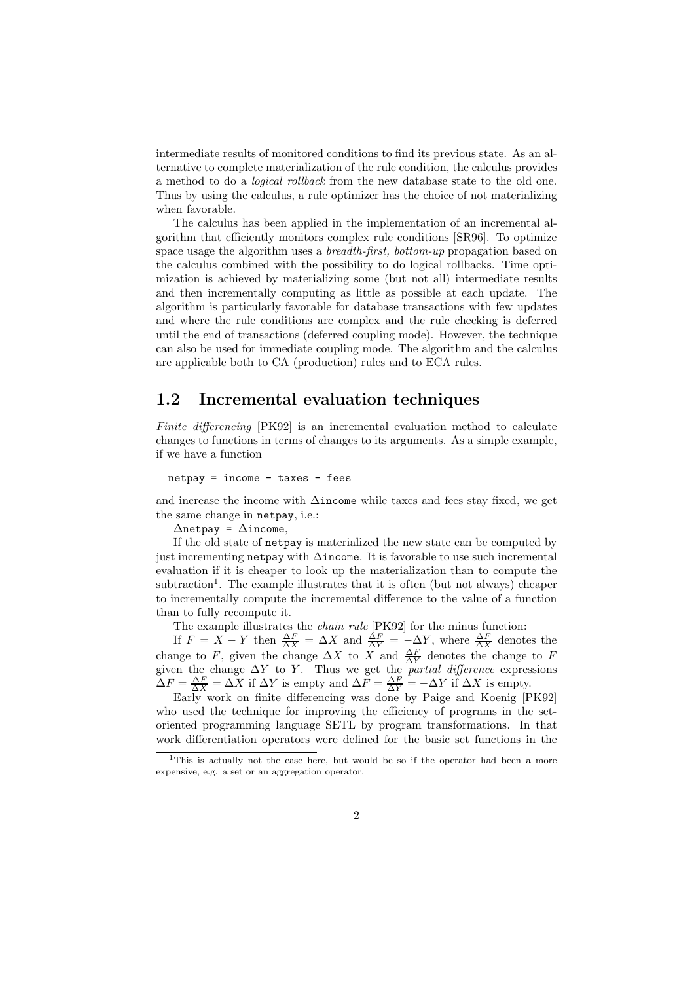intermediate results of monitored conditions to find its previous state. As an alternative to complete materialization of the rule condition, the calculus provides a method to do a *logical rollback* from the new database state to the old one. Thus by using the calculus, a rule optimizer has the choice of not materializing when favorable.

The calculus has been applied in the implementation of an incremental algorithm that efficiently monitors complex rule conditions [SR96]. To optimize space usage the algorithm uses a *breadth-first, bottom-up* propagation based on the calculus combined with the possibility to do logical rollbacks. Time optimization is achieved by materializing some (but not all) intermediate results and then incrementally computing as little as possible at each update. The algorithm is particularly favorable for database transactions with few updates and where the rule conditions are complex and the rule checking is deferred until the end of transactions (deferred coupling mode). However, the technique can also be used for immediate coupling mode. The algorithm and the calculus are applicable both to CA (production) rules and to ECA rules.

## **1.2 Incremental evaluation techniques**

*Finite differencing* [PK92] is an incremental evaluation method to calculate changes to functions in terms of changes to its arguments. As a simple example, if we have a function

#### netpay = income - taxes - fees

and increase the income with  $\Delta$ income while taxes and fees stay fixed, we get the same change in netpay, i.e.:

 $\Delta$ netpay =  $\Delta$ income,

If the old state of netpay is materialized the new state can be computed by just incrementing netpay with  $\Delta$ income. It is favorable to use such incremental evaluation if it is cheaper to look up the materialization than to compute the subtraction<sup>1</sup>. The example illustrates that it is often (but not always) cheaper to incrementally compute the incremental difference to the value of a function than to fully recompute it.

The example illustrates the *chain rule* [PK92] for the minus function:

If  $F = X - Y$  then  $\frac{\Delta F}{\Delta X} = \Delta X$  and  $\frac{\Delta F}{\Delta Y} = -\Delta Y$ , where  $\frac{\Delta F}{\Delta X}$  denotes the change to F, given the change  $\Delta X$  to X and  $\frac{\Delta F}{\Delta Y}$  denotes the change to F given the change  $\Delta Y$  to Y. Thus we get the *partial difference* expressions  $\Delta F = \frac{\Delta F}{\Delta X} = \Delta X$  if  $\Delta Y$  is empty and  $\Delta F = \frac{\Delta F}{\Delta Y} = -\Delta Y$  if  $\Delta X$  is empty.

Early work on finite differencing was done by Paige and Koenig [PK92] who used the technique for improving the efficiency of programs in the setoriented programming language SETL by program transformations. In that work differentiation operators were defined for the basic set functions in the

<sup>&</sup>lt;sup>1</sup>This is actually not the case here, but would be so if the operator had been a more expensive, e.g. a set or an aggregation operator.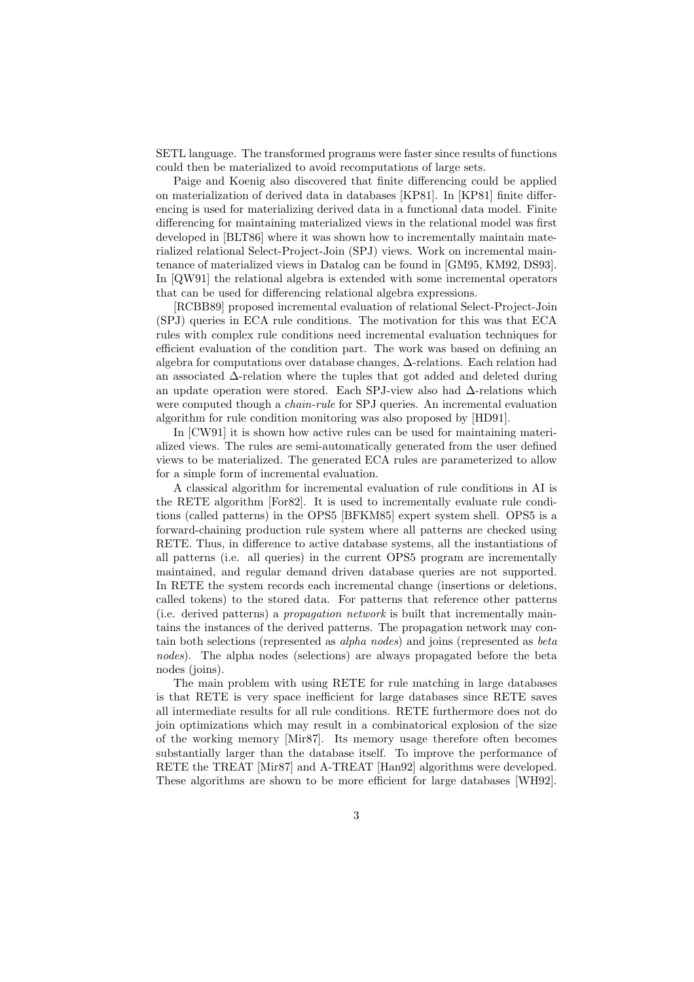SETL language. The transformed programs were faster since results of functions could then be materialized to avoid recomputations of large sets.

Paige and Koenig also discovered that finite differencing could be applied on materialization of derived data in databases [KP81]. In [KP81] finite differencing is used for materializing derived data in a functional data model. Finite differencing for maintaining materialized views in the relational model was first developed in [BLT86] where it was shown how to incrementally maintain materialized relational Select-Project-Join (SPJ) views. Work on incremental maintenance of materialized views in Datalog can be found in [GM95, KM92, DS93]. In [QW91] the relational algebra is extended with some incremental operators that can be used for differencing relational algebra expressions.

[RCBB89] proposed incremental evaluation of relational Select-Project-Join (SPJ) queries in ECA rule conditions. The motivation for this was that ECA rules with complex rule conditions need incremental evaluation techniques for efficient evaluation of the condition part. The work was based on defining an algebra for computations over database changes, ∆-relations. Each relation had an associated ∆-relation where the tuples that got added and deleted during an update operation were stored. Each SPJ-view also had ∆-relations which were computed though a *chain-rule* for SPJ queries. An incremental evaluation algorithm for rule condition monitoring was also proposed by [HD91].

In [CW91] it is shown how active rules can be used for maintaining materialized views. The rules are semi-automatically generated from the user defined views to be materialized. The generated ECA rules are parameterized to allow for a simple form of incremental evaluation.

A classical algorithm for incremental evaluation of rule conditions in AI is the RETE algorithm [For82]. It is used to incrementally evaluate rule conditions (called patterns) in the OPS5 [BFKM85] expert system shell. OPS5 is a forward-chaining production rule system where all patterns are checked using RETE. Thus, in difference to active database systems, all the instantiations of all patterns (i.e. all queries) in the current OPS5 program are incrementally maintained, and regular demand driven database queries are not supported. In RETE the system records each incremental change (insertions or deletions, called tokens) to the stored data. For patterns that reference other patterns (i.e. derived patterns) a *propagation network* is built that incrementally maintains the instances of the derived patterns. The propagation network may contain both selections (represented as *alpha nodes*) and joins (represented as *beta nodes*). The alpha nodes (selections) are always propagated before the beta nodes (joins).

The main problem with using RETE for rule matching in large databases is that RETE is very space inefficient for large databases since RETE saves all intermediate results for all rule conditions. RETE furthermore does not do join optimizations which may result in a combinatorical explosion of the size of the working memory [Mir87]. Its memory usage therefore often becomes substantially larger than the database itself. To improve the performance of RETE the TREAT [Mir87] and A-TREAT [Han92] algorithms were developed. These algorithms are shown to be more efficient for large databases [WH92].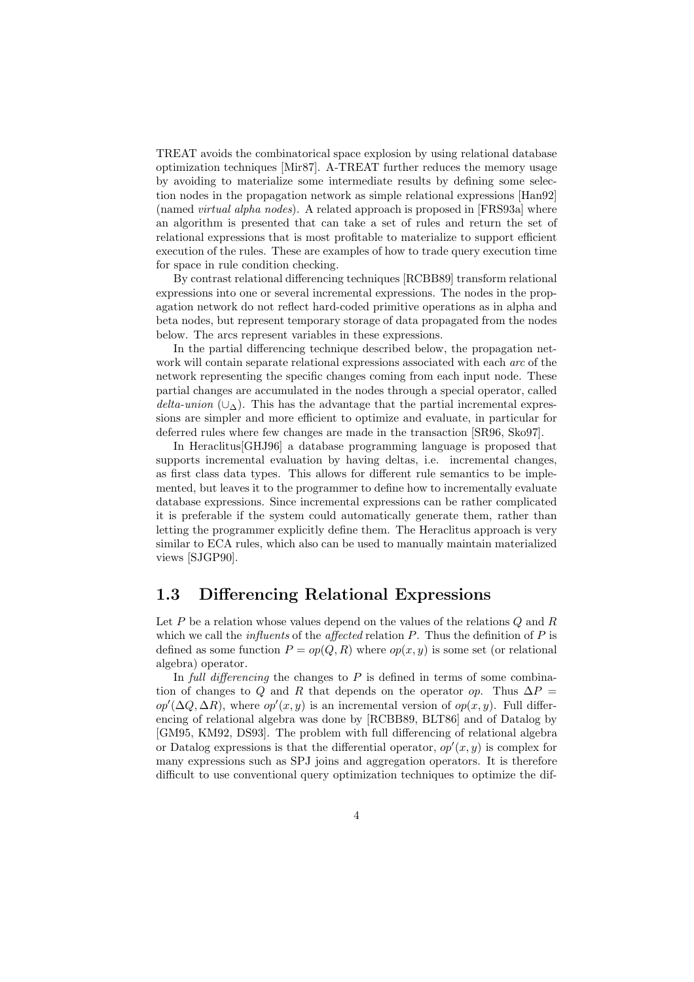TREAT avoids the combinatorical space explosion by using relational database optimization techniques [Mir87]. A-TREAT further reduces the memory usage by avoiding to materialize some intermediate results by defining some selection nodes in the propagation network as simple relational expressions [Han92] (named *virtual alpha nodes*). A related approach is proposed in [FRS93a] where an algorithm is presented that can take a set of rules and return the set of relational expressions that is most profitable to materialize to support efficient execution of the rules. These are examples of how to trade query execution time for space in rule condition checking.

By contrast relational differencing techniques [RCBB89] transform relational expressions into one or several incremental expressions. The nodes in the propagation network do not reflect hard-coded primitive operations as in alpha and beta nodes, but represent temporary storage of data propagated from the nodes below. The arcs represent variables in these expressions.

In the partial differencing technique described below, the propagation network will contain separate relational expressions associated with each *arc* of the network representing the specific changes coming from each input node. These partial changes are accumulated in the nodes through a special operator, called *delta-union* ( $\cup \wedge$ ). This has the advantage that the partial incremental expressions are simpler and more efficient to optimize and evaluate, in particular for deferred rules where few changes are made in the transaction [SR96, Sko97].

In Heraclitus[GHJ96] a database programming language is proposed that supports incremental evaluation by having deltas, i.e. incremental changes, as first class data types. This allows for different rule semantics to be implemented, but leaves it to the programmer to define how to incrementally evaluate database expressions. Since incremental expressions can be rather complicated it is preferable if the system could automatically generate them, rather than letting the programmer explicitly define them. The Heraclitus approach is very similar to ECA rules, which also can be used to manually maintain materialized views [SJGP90].

## **1.3 Differencing Relational Expressions**

Let P be a relation whose values depend on the values of the relations  $O$  and  $R$ which we call the *influents* of the *affected* relation P. Thus the definition of P is defined as some function  $P = op(Q, R)$  where  $op(x, y)$  is some set (or relational algebra) operator.

In *full differencing* the changes to P is defined in terms of some combination of changes to Q and R that depends on the operator op. Thus  $\Delta P =$  $op'(\Delta Q, \Delta R)$ , where  $op'(x, y)$  is an incremental version of  $op(x, y)$ . Full differencing of relational algebra was done by [RCBB89, BLT86] and of Datalog by [GM95, KM92, DS93]. The problem with full differencing of relational algebra or Datalog expressions is that the differential operator,  $op'(x, y)$  is complex for many expressions such as SPJ joins and aggregation operators. It is therefore difficult to use conventional query optimization techniques to optimize the dif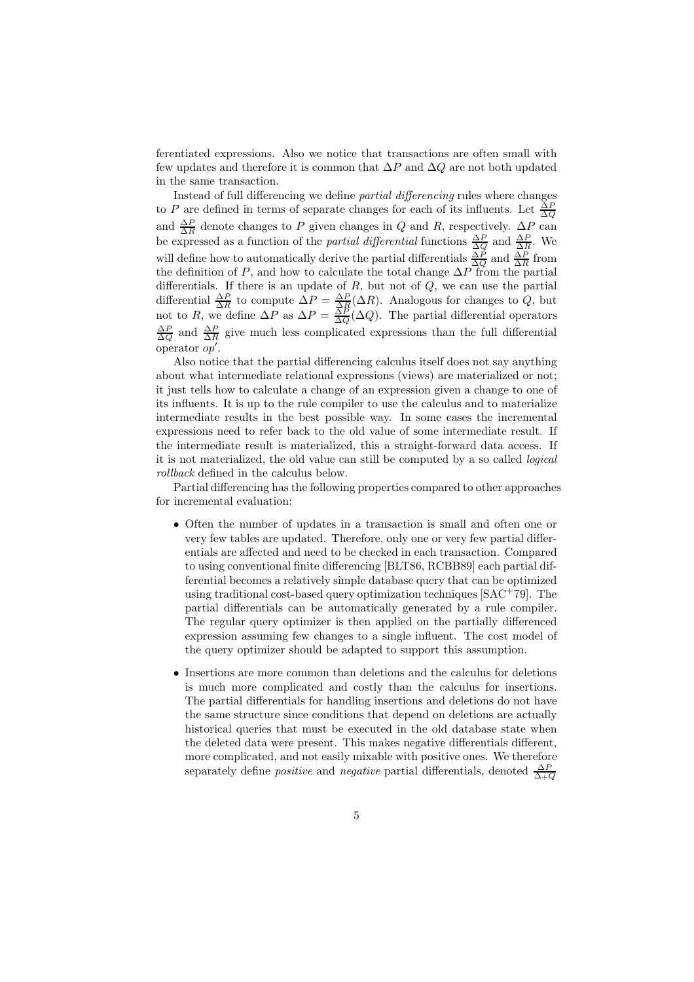ferentiated expressions. Also we notice that transactions are often small with few updates and therefore it is common that  $\Delta P$  and  $\Delta Q$  are not both updated in the same transaction.

Instead of full differencing we define *partial differencing* rules where changes to P are defined in terms of separate changes for each of its influents. Let  $\frac{\Delta P}{\Delta Q}$ and  $\frac{\Delta P}{\Delta R}$  denote changes to P given changes in Q and R, respectively.  $\Delta P$  can be expressed as a function of the *partial differential* functions  $\frac{\Delta P}{\Delta Q}$  and  $\frac{\Delta P}{\Delta R}$ . We will define how to automatically derive the partial differentials  $\frac{\Delta P}{\Delta Q}$  and  $\frac{\Delta P}{\Delta R}$  from the definition of P, and how to calculate the total change  $\Delta P$  from the partial differentials. If there is an update of  $R$ , but not of  $Q$ , we can use the partial differential  $\frac{\Delta P}{\Delta R}$  to compute  $\Delta P = \frac{\Delta P}{\Delta R}(\Delta R)$ . Analogous for changes to Q, but not to R, we define  $\Delta P$  as  $\Delta P = \frac{\Delta P}{\Delta Q}(\Delta Q)$ . The partial differential operators  $\frac{\Delta P}{\Delta Q}$  and  $\frac{\Delta P}{\Delta R}$  give much less complicated expressions than the full differential operator op .

Also notice that the partial differencing calculus itself does not say anything about what intermediate relational expressions (views) are materialized or not; it just tells how to calculate a change of an expression given a change to one of its influents. It is up to the rule compiler to use the calculus and to materialize intermediate results in the best possible way. In some cases the incremental expressions need to refer back to the old value of some intermediate result. If the intermediate result is materialized, this a straight-forward data access. If it is not materialized, the old value can still be computed by a so called *logical rollback* defined in the calculus below.

Partial differencing has the following properties compared to other approaches for incremental evaluation:

- Often the number of updates in a transaction is small and often one or very few tables are updated. Therefore, only one or very few partial differentials are affected and need to be checked in each transaction. Compared to using conventional finite differencing [BLT86, RCBB89] each partial differential becomes a relatively simple database query that can be optimized using traditional cost-based query optimization techniques  $[SAC^+79]$ . The partial differentials can be automatically generated by a rule compiler. The regular query optimizer is then applied on the partially differenced expression assuming few changes to a single influent. The cost model of the query optimizer should be adapted to support this assumption.
- Insertions are more common than deletions and the calculus for deletions is much more complicated and costly than the calculus for insertions. The partial differentials for handling insertions and deletions do not have the same structure since conditions that depend on deletions are actually historical queries that must be executed in the old database state when the deleted data were present. This makes negative differentials different, more complicated, and not easily mixable with positive ones. We therefore separately define *positive* and *negative* partial differentials, denoted  $\frac{\Delta P}{\Delta + Q}$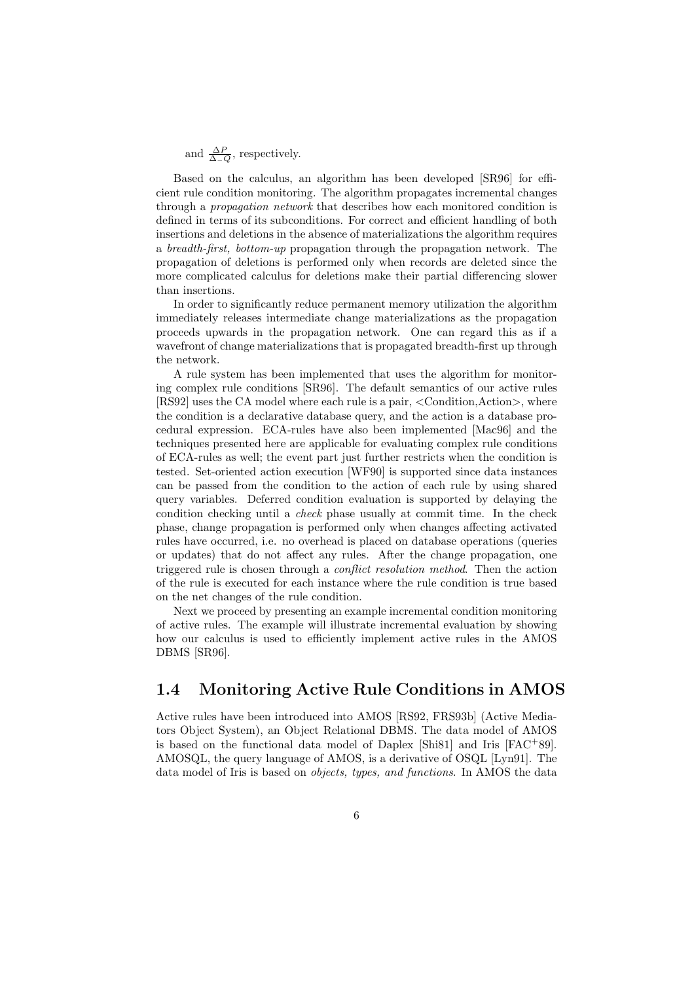and  $\frac{\Delta P}{\Delta - Q}$ , respectively.

Based on the calculus, an algorithm has been developed [SR96] for efficient rule condition monitoring. The algorithm propagates incremental changes through a *propagation network* that describes how each monitored condition is defined in terms of its subconditions. For correct and efficient handling of both insertions and deletions in the absence of materializations the algorithm requires a *breadth-first, bottom-up* propagation through the propagation network. The propagation of deletions is performed only when records are deleted since the more complicated calculus for deletions make their partial differencing slower than insertions.

In order to significantly reduce permanent memory utilization the algorithm immediately releases intermediate change materializations as the propagation proceeds upwards in the propagation network. One can regard this as if a wavefront of change materializations that is propagated breadth-first up through the network.

A rule system has been implemented that uses the algorithm for monitoring complex rule conditions [SR96]. The default semantics of our active rules [RS92] uses the CA model where each rule is a pair,  $\langle$ Condition,Action $\rangle$ , where the condition is a declarative database query, and the action is a database procedural expression. ECA-rules have also been implemented [Mac96] and the techniques presented here are applicable for evaluating complex rule conditions of ECA-rules as well; the event part just further restricts when the condition is tested. Set-oriented action execution [WF90] is supported since data instances can be passed from the condition to the action of each rule by using shared query variables. Deferred condition evaluation is supported by delaying the condition checking until a *check* phase usually at commit time. In the check phase, change propagation is performed only when changes affecting activated rules have occurred, i.e. no overhead is placed on database operations (queries or updates) that do not affect any rules. After the change propagation, one triggered rule is chosen through a *conflict resolution method*. Then the action of the rule is executed for each instance where the rule condition is true based on the net changes of the rule condition.

Next we proceed by presenting an example incremental condition monitoring of active rules. The example will illustrate incremental evaluation by showing how our calculus is used to efficiently implement active rules in the AMOS DBMS [SR96].

## **1.4 Monitoring Active Rule Conditions in AMOS**

Active rules have been introduced into AMOS [RS92, FRS93b] (Active Mediators Object System), an Object Relational DBMS. The data model of AMOS is based on the functional data model of Daplex [Shi81] and Iris [FAC<sup>+</sup>89]. AMOSQL, the query language of AMOS, is a derivative of OSQL [Lyn91]. The data model of Iris is based on *objects, types, and functions*. In AMOS the data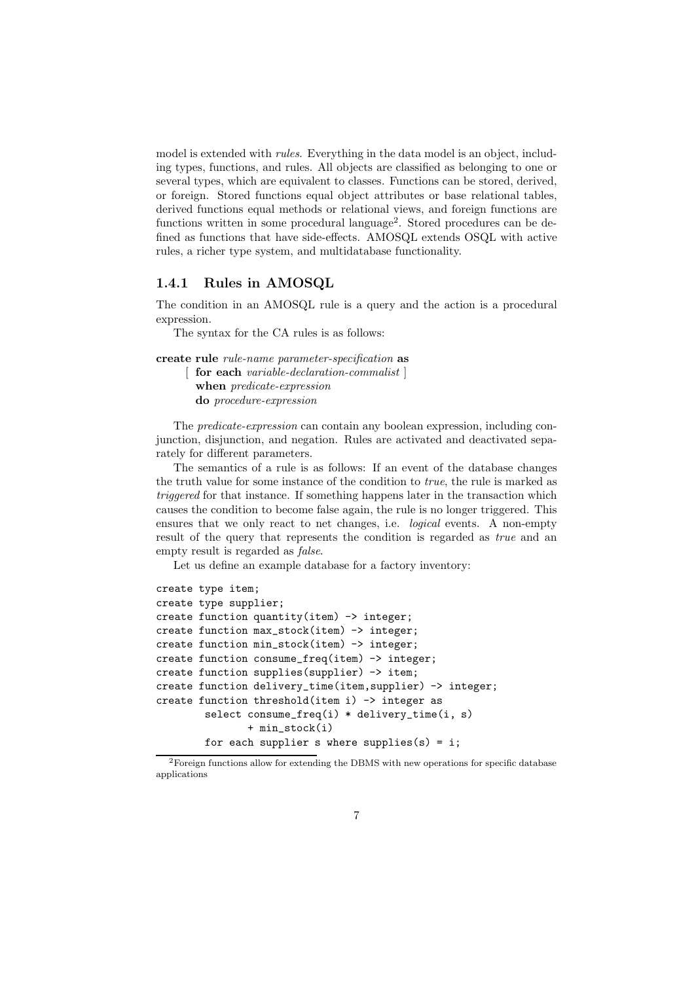model is extended with *rules*. Everything in the data model is an object, including types, functions, and rules. All objects are classified as belonging to one or several types, which are equivalent to classes. Functions can be stored, derived, or foreign. Stored functions equal object attributes or base relational tables, derived functions equal methods or relational views, and foreign functions are functions written in some procedural language<sup>2</sup>. Stored procedures can be defined as functions that have side-effects. AMOSQL extends OSQL with active rules, a richer type system, and multidatabase functionality.

## **1.4.1 Rules in AMOSQL**

The condition in an AMOSQL rule is a query and the action is a procedural expression.

The syntax for the CA rules is as follows:

**create rule** *rule-name parameter-specification* **as**

[ **for each** *variable-declaration-commalist* ] **when** *predicate-expression* **do** *procedure-expression*

The *predicate-expression* can contain any boolean expression, including conjunction, disjunction, and negation. Rules are activated and deactivated separately for different parameters.

The semantics of a rule is as follows: If an event of the database changes the truth value for some instance of the condition to *true*, the rule is marked as *triggered* for that instance. If something happens later in the transaction which causes the condition to become false again, the rule is no longer triggered. This ensures that we only react to net changes, i.e. *logical* events. A non-empty result of the query that represents the condition is regarded as *true* and an empty result is regarded as *false*.

Let us define an example database for a factory inventory:

```
create type item;
create type supplier;
create function quantity(item) -> integer;
create function max_stock(item) -> integer;
create function min_stock(item) -> integer;
create function consume_freq(item) -> integer;
create function supplies(supplier) -> item;
create function delivery_time(item,supplier) -> integer;
create function threshold(item i) \rightarrow integer as
        select consume_freq(i) * delivery_time(i, s)
               + min_stock(i)
        for each supplier s where supplies(s) = i;
```
<sup>2</sup>Foreign functions allow for extending the DBMS with new operations for specific database applications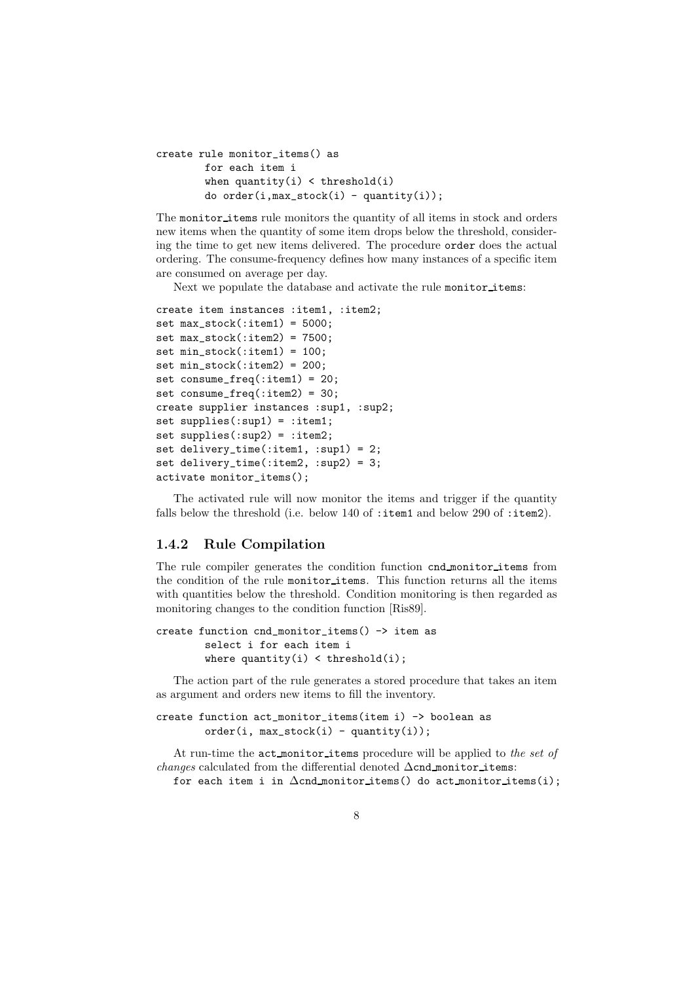```
create rule monitor_items() as
        for each item i
        when quantity(i) \times threshold(i)
        do order(i, max_stock(i) - quantity(i));
```
The monitor items rule monitors the quantity of all items in stock and orders new items when the quantity of some item drops below the threshold, considering the time to get new items delivered. The procedure order does the actual ordering. The consume-frequency defines how many instances of a specific item are consumed on average per day.

Next we populate the database and activate the rule monitor\_items:

```
create item instances :item1, :item2;
set max_stock(:item1) = 5000;
set max\_stock(:item2) = 7500;
set min_stock(:item1) = 100;
set min\_stock(:item2) = 200;
set consume_freq(:item1) = 20;
set consume_freq(:item2) = 30;
create supplier instances :sup1, :sup2;
set supplies(:sup1) = :item1;
set supplies(:sup2) = :item2;
set delivery_time(:item1, :sup1) = 2;
set delivery_time(:item2, :sup2) = 3;
activate monitor_items();
```
The activated rule will now monitor the items and trigger if the quantity falls below the threshold (i.e. below 140 of : item1 and below 290 of : item2).

## **1.4.2 Rule Compilation**

The rule compiler generates the condition function cnd\_monitor\_items from the condition of the rule monitor items. This function returns all the items with quantities below the threshold. Condition monitoring is then regarded as monitoring changes to the condition function [Ris89].

```
create function cnd_monitor_items() -> item as
        select i for each item i
        where quantity(i) \langle threshold(i);
```
The action part of the rule generates a stored procedure that takes an item as argument and orders new items to fill the inventory.

```
create function act_monitor_items(item i) -> boolean as
       order(i, max_stock(i) - quantity(i));
```
At run-time the act monitor items procedure will be applied to *the set of changes* calculated from the differential denoted ∆cnd monitor\_items: for each item i in  $\Delta$ cnd\_monitor\_items() do act\_monitor\_items(i);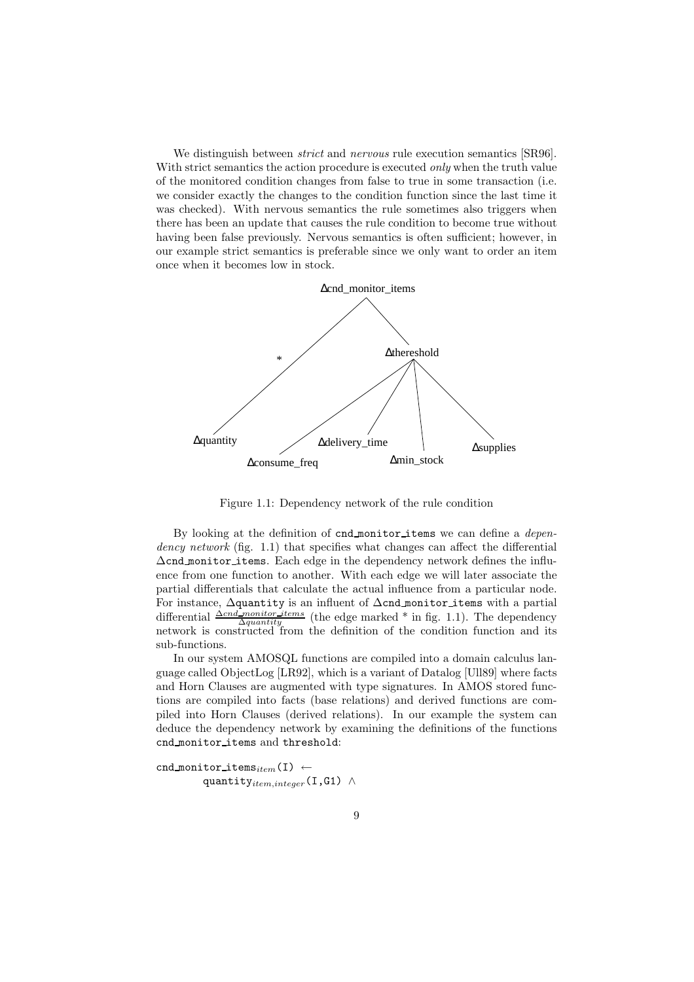We distinguish between *strict* and *nervous* rule execution semantics [SR96]. With strict semantics the action procedure is executed *only* when the truth value of the monitored condition changes from false to true in some transaction (i.e. we consider exactly the changes to the condition function since the last time it was checked). With nervous semantics the rule sometimes also triggers when there has been an update that causes the rule condition to become true without having been false previously. Nervous semantics is often sufficient; however, in our example strict semantics is preferable since we only want to order an item once when it becomes low in stock.



Figure 1.1: Dependency network of the rule condition

By looking at the definition of cnd monitor items we can define a *dependency network* (fig. 1.1) that specifies what changes can affect the differential ∆cnd monitor items. Each edge in the dependency network defines the influence from one function to another. With each edge we will later associate the partial differentials that calculate the actual influence from a particular node. For instance, ∆quantity is an influent of ∆cnd monitor items with a partial differential <sup>∆</sup>*cnd monitor items* <sup>∆</sup>*quantity* (the edge marked \* in fig. 1.1). The dependency network is constructed from the definition of the condition function and its sub-functions.

In our system AMOSQL functions are compiled into a domain calculus language called ObjectLog [LR92], which is a variant of Datalog [Ull89] where facts and Horn Clauses are augmented with type signatures. In AMOS stored functions are compiled into facts (base relations) and derived functions are compiled into Horn Clauses (derived relations). In our example the system can deduce the dependency network by examining the definitions of the functions cnd monitor items and threshold:

cnd monitor items*item*(I) ← quantity*item,integer*(I,G1) ∧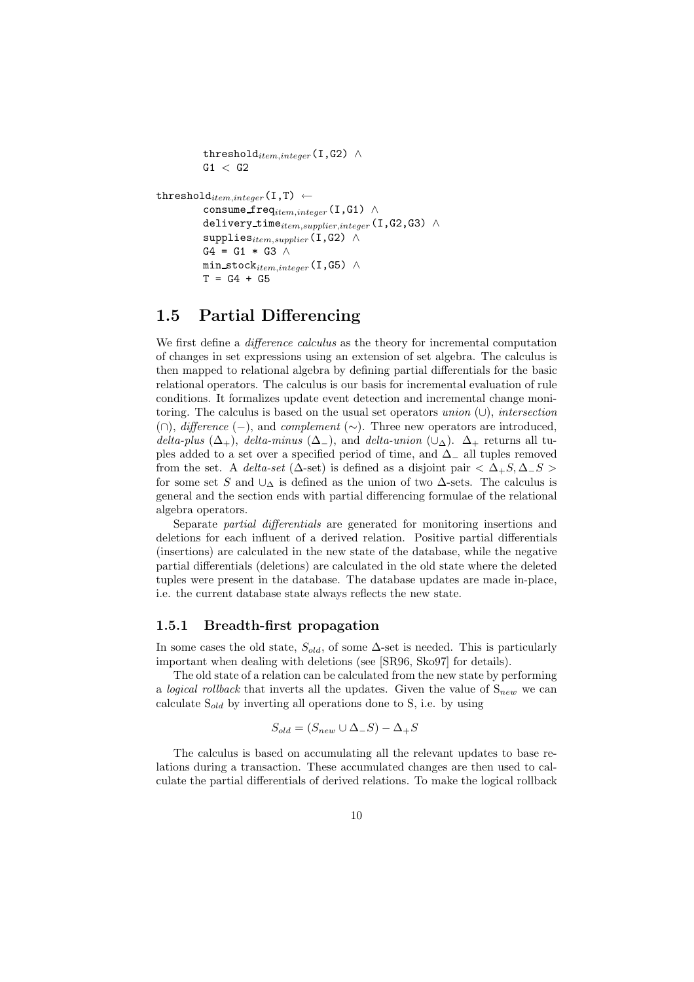```
thresholditem,integer(I,G2) ∧
        G1 < G2thresholditem,integer(I,T) ←
        consume freqitem,integer(I,G1) ∧
        delivery timeitem,supplier,integer (I,G2,G3) ∧
        suppliesitem,supplier(I,G2) ∧
        G4 = G1 * G3 \trianglemin stockitem,integer(I,G5) ∧
        T = G4 + G5
```
## **1.5 Partial Differencing**

We first define a *difference calculus* as the theory for incremental computation of changes in set expressions using an extension of set algebra. The calculus is then mapped to relational algebra by defining partial differentials for the basic relational operators. The calculus is our basis for incremental evaluation of rule conditions. It formalizes update event detection and incremental change monitoring. The calculus is based on the usual set operators *union* (∪), *intersection* (∩), *difference* (−), and *complement* (∼). Three new operators are introduced, *delta-plus* ( $\Delta_+$ ), *delta-minus* ( $\Delta_-$ ), and *delta-union* ( $\cup_{\Delta}$ ).  $\Delta_+$  returns all tuples added to a set over a specified period of time, and ∆<sup>−</sup> all tuples removed from the set. A *delta-set* ( $\Delta$ -set) is defined as a disjoint pair  $\langle \Delta_+ S, \Delta_- S \rangle$ for some set S and  $\cup_{\Delta}$  is defined as the union of two  $\Delta$ -sets. The calculus is general and the section ends with partial differencing formulae of the relational algebra operators.

Separate *partial differentials* are generated for monitoring insertions and deletions for each influent of a derived relation. Positive partial differentials (insertions) are calculated in the new state of the database, while the negative partial differentials (deletions) are calculated in the old state where the deleted tuples were present in the database. The database updates are made in-place, i.e. the current database state always reflects the new state.

## **1.5.1 Breadth-first propagation**

In some cases the old state,  $S_{old}$ , of some  $\Delta$ -set is needed. This is particularly important when dealing with deletions (see [SR96, Sko97] for details).

The old state of a relation can be calculated from the new state by performing a *logical rollback* that inverts all the updates. Given the value of S*new* we can calculate S*old* by inverting all operations done to S, i.e. by using

$$
S_{old} = (S_{new} \cup \Delta_{-}S) - \Delta_{+}S
$$

The calculus is based on accumulating all the relevant updates to base relations during a transaction. These accumulated changes are then used to calculate the partial differentials of derived relations. To make the logical rollback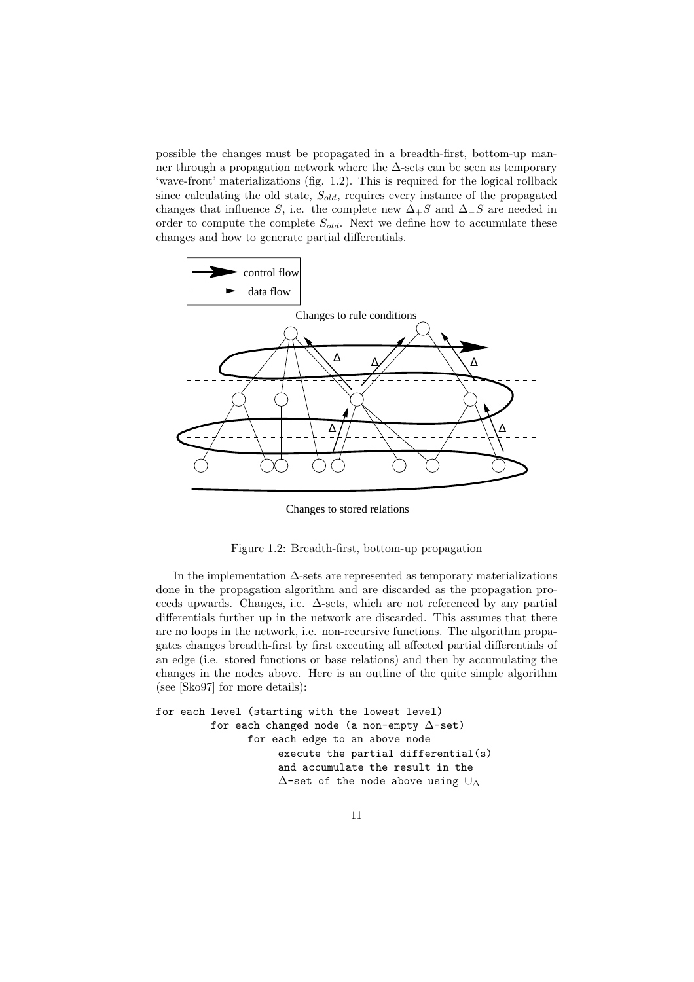possible the changes must be propagated in a breadth-first, bottom-up manner through a propagation network where the ∆-sets can be seen as temporary 'wave-front' materializations (fig. 1.2). This is required for the logical rollback since calculating the old state, S*old*, requires every instance of the propagated changes that influence S, i.e. the complete new  $\Delta_+S$  and  $\Delta_-S$  are needed in order to compute the complete S*old*. Next we define how to accumulate these changes and how to generate partial differentials.



Changes to stored relations

#### Figure 1.2: Breadth-first, bottom-up propagation

In the implementation  $\Delta$ -sets are represented as temporary materializations done in the propagation algorithm and are discarded as the propagation proceeds upwards. Changes, i.e. ∆-sets, which are not referenced by any partial differentials further up in the network are discarded. This assumes that there are no loops in the network, i.e. non-recursive functions. The algorithm propagates changes breadth-first by first executing all affected partial differentials of an edge (i.e. stored functions or base relations) and then by accumulating the changes in the nodes above. Here is an outline of the quite simple algorithm (see [Sko97] for more details):

```
for each level (starting with the lowest level)
          for each changed node (a non-empty \Delta-set)
                for each edge to an above node
                      execute the partial differential(s)
                      and accumulate the result in the
                      \Delta-set of the node above using \cup_{\Delta}
```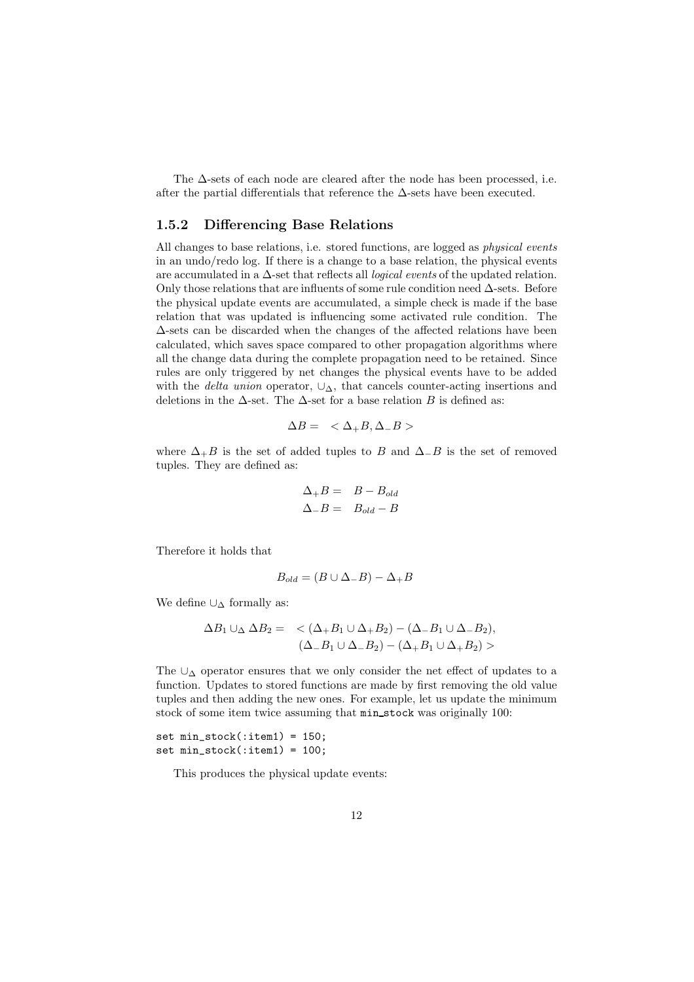The ∆-sets of each node are cleared after the node has been processed, i.e. after the partial differentials that reference the  $\Delta$ -sets have been executed.

## **1.5.2 Differencing Base Relations**

All changes to base relations, i.e. stored functions, are logged as *physical events* in an undo/redo log. If there is a change to a base relation, the physical events are accumulated in a ∆-set that reflects all *logical events* of the updated relation. Only those relations that are influents of some rule condition need ∆-sets. Before the physical update events are accumulated, a simple check is made if the base relation that was updated is influencing some activated rule condition. The ∆-sets can be discarded when the changes of the affected relations have been calculated, which saves space compared to other propagation algorithms where all the change data during the complete propagation need to be retained. Since rules are only triggered by net changes the physical events have to be added with the *delta union* operator,  $\cup_{\Delta}$ , that cancels counter-acting insertions and deletions in the  $\Delta$ -set. The  $\Delta$ -set for a base relation B is defined as:

$$
\Delta B = \langle \Delta_+ B, \Delta_- B \rangle
$$

where  $\Delta_{+}B$  is the set of added tuples to B and  $\Delta_{-}B$  is the set of removed tuples. They are defined as:

$$
\Delta_+ B = B - B_{old}
$$
  

$$
\Delta_- B = B_{old} - B
$$

Therefore it holds that

$$
B_{old} = (B \cup \Delta_{-} B) - \Delta_{+} B
$$

We define  $\cup_{\Delta}$  formally as:

$$
\Delta B_1 \cup_{\Delta} \Delta B_2 = \langle (\Delta_+ B_1 \cup \Delta_+ B_2) - (\Delta_- B_1 \cup \Delta_- B_2),
$$
  

$$
(\Delta_- B_1 \cup \Delta_- B_2) - (\Delta_+ B_1 \cup \Delta_+ B_2) \rangle
$$

The  $\cup_{\Delta}$  operator ensures that we only consider the net effect of updates to a function. Updates to stored functions are made by first removing the old value tuples and then adding the new ones. For example, let us update the minimum stock of some item twice assuming that min stock was originally 100:

set min\_stock(:item1) = 150; set min\_stock(:item1) = 100;

This produces the physical update events: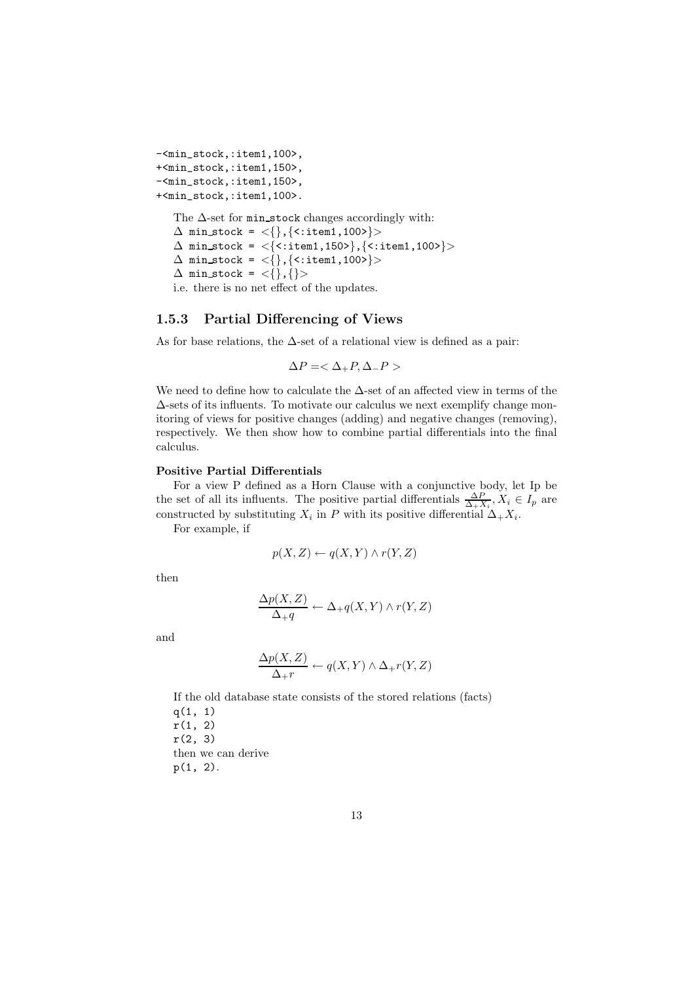```
-<min_stock,:item1,100>,
+<min_stock,:item1,150>,
-<min_stock,:item1,150>,
+<min_stock,:item1,100>.
    The \Delta\text{-set} for \texttt{min\_stock} changes accordingly with:
    \Delta min_stock = \langle \{\}, \{\text{<ifem1,100>}\}\rangle\Delta min_stock = \langle\langle\text{~iitem1,150>}\rangle,\langle\text{~iitem1,100>}\rangle\rangle\Delta min_stock = \langle \}, {\{\text{<:item1,100>}}\rangle\Delta min_stock = \langle \{\},\{\}\ranglei.e. there is no net effect of the updates.
```
#### **1.5.3 Partial Differencing of Views**

As for base relations, the ∆-set of a relational view is defined as a pair:

 $\Delta P = \langle \Delta_+ P, \Delta_- P \rangle$ 

We need to define how to calculate the ∆-set of an affected view in terms of the ∆-sets of its influents. To motivate our calculus we next exemplify change monitoring of views for positive changes (adding) and negative changes (removing), respectively. We then show how to combine partial differentials into the final calculus.

#### **Positive Partial Differentials**

For a view P defined as a Horn Clause with a conjunctive body, let Ip be the set of all its influents. The positive partial differentials  $\frac{\Delta P}{\Delta + X_i}$ ,  $X_i \in I_p$  are constructed by substituting  $X_i$  in P with its positive differential  $\Delta_+ X_i$ .

For example, if

$$
p(X, Z) \leftarrow q(X, Y) \land r(Y, Z)
$$

then

$$
\frac{\Delta p(X, Z)}{\Delta_+ q} \leftarrow \Delta_+ q(X, Y) \wedge r(Y, Z)
$$

and

$$
\frac{\Delta p(X, Z)}{\Delta_{+} r} \leftarrow q(X, Y) \land \Delta_{+} r(Y, Z)
$$

If the old database state consists of the stored relations (facts) q(1, 1)  $r(1, 2)$  $r(2, 3)$ then we can derive p(1, 2).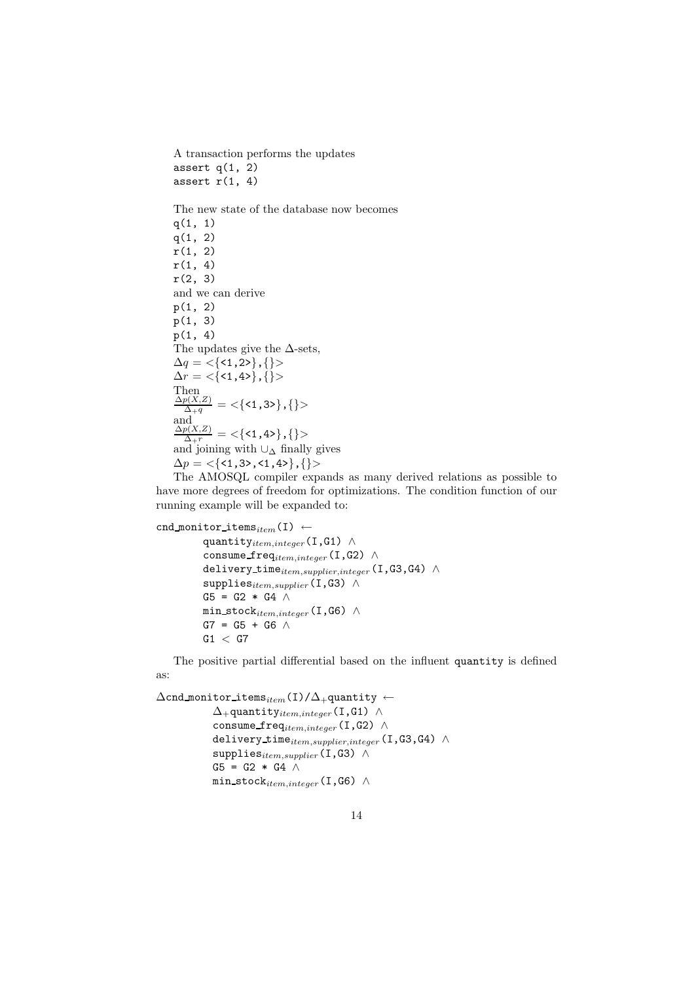```
A transaction performs the updates
assert q(1, 2)assert r(1, 4)The new state of the database now becomes
q(1, 1)
q(1, 2)
r(1, 2)r(1, 4)r(2, 3)and we can derive
p(1, 2)p(1, 3)
p(1, 4)
The updates give the \Delta-sets,
\Delta q = \langle \{ \langle 1, 2 \rangle \}, \{ \} \rangle\Delta r = \langle \{ 1, 4 \rangle \}, \{ \} \rangleThen \frac{\Delta p(X,Z)}{\Delta_+q} = \langle \{\texttt{<1,3>}\}, \{\} \rangleand
 \frac{\Delta p(X,Z)}{\Delta_+ r} = \left. < \right\{ < 1 , 4> \left\}, \right\} >and joining with \cup_{\Delta} finally gives
\Delta p = \langle \{ \texttt{1,3}, \texttt{3,1,4} \}, \{ \} \rangle
```
The AMOSQL compiler expands as many derived relations as possible to have more degrees of freedom for optimizations. The condition function of our running example will be expanded to:

```
cnd monitor itemsitem(I) ←
        quantityitem,integer(I,G1) ∧
         consume freqitem,integer(I,G2) ∧
        delivery timeitem,supplier,integer (I,G3,G4) ∧
         suppliesitem,supplier(I,G3) ∧
        G5 = G2 * G4 \wedgemin stockitem,integer(I,G6) ∧
        G7 = G5 + G6 \landG1 < G7
```
The positive partial differential based on the influent quantity is defined as:

```
∆cnd monitor itemsitem(I)/∆+quantity ←
          ∆+quantityitem,integer(I,G1) ∧
          consume freqitem,integer(I,G2) ∧
          delivery timeitem,supplier,integer (I,G3,G4) ∧
          suppliesitem,supplier(I,G3) ∧
          G5 = G2 * G4 \wedgemin stockitem,integer(I,G6) ∧
```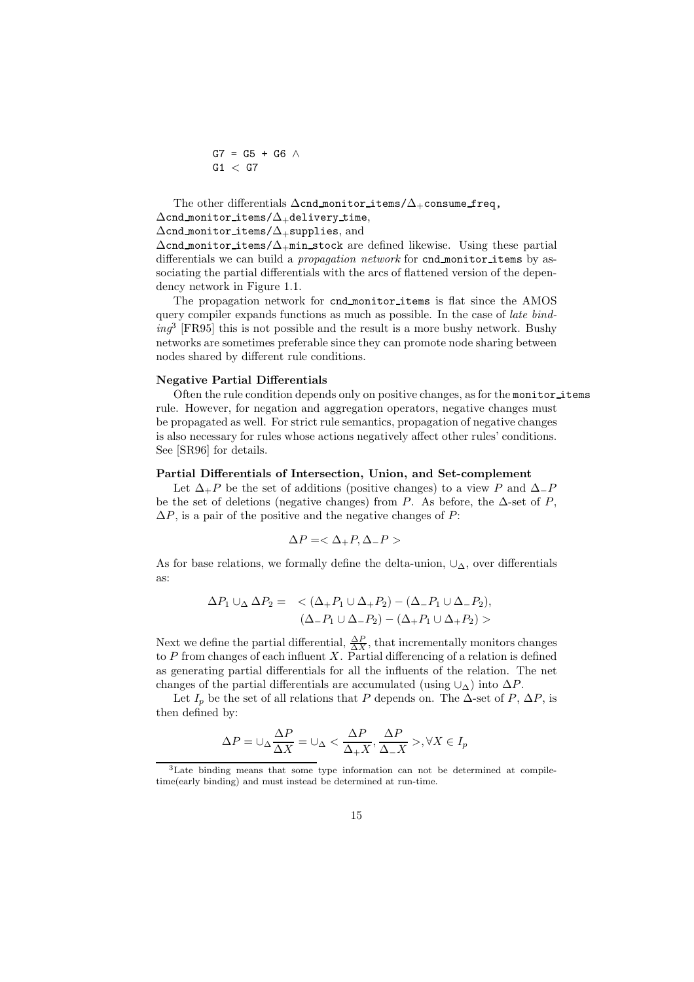$G7 = G5 + G6 \land$  $G1 < G7$ 

The other differentials  $\Delta$ cnd monitor items/ $\Delta$ +consume freq,  $\Delta$ cnd\_monitor\_items/ $\Delta_+$ delivery\_time,

#### $\Delta$ cnd monitor\_items/ $\Delta_{+}$ supplies, and

∆cnd monitor items/∆+min stock are defined likewise. Using these partial differentials we can build a *propagation network* for cnd monitor items by associating the partial differentials with the arcs of flattened version of the dependency network in Figure 1.1.

The propagation network for cnd monitor items is flat since the AMOS query compiler expands functions as much as possible. In the case of *late binding*<sup>3</sup> [FR95] this is not possible and the result is a more bushy network. Bushy networks are sometimes preferable since they can promote node sharing between nodes shared by different rule conditions.

#### **Negative Partial Differentials**

Often the rule condition depends only on positive changes, as for the monitor items rule. However, for negation and aggregation operators, negative changes must be propagated as well. For strict rule semantics, propagation of negative changes is also necessary for rules whose actions negatively affect other rules' conditions. See [SR96] for details.

#### **Partial Differentials of Intersection, Union, and Set-complement**

Let  $\Delta_+P$  be the set of additions (positive changes) to a view P and  $\Delta_-P$ be the set of deletions (negative changes) from P. As before, the  $\Delta$ -set of P,  $\Delta P$ , is a pair of the positive and the negative changes of P:

$$
\Delta P = \langle \Delta_+ P, \Delta_- P \rangle
$$

As for base relations, we formally define the delta-union,  $\cup_{\Delta}$ , over differentials as:

$$
\Delta P_1 \cup_{\Delta} \Delta P_2 = \langle (\Delta_+ P_1 \cup \Delta_+ P_2) - (\Delta_- P_1 \cup \Delta_- P_2),
$$
  

$$
(\Delta_- P_1 \cup \Delta_- P_2) - (\Delta_+ P_1 \cup \Delta_+ P_2) \rangle
$$

Next we define the partial differential,  $\frac{\Delta P}{\Delta X}$ , that incrementally monitors changes to P from changes of each influent X. Partial differencing of a relation is defined as generating partial differentials for all the influents of the relation. The net changes of the partial differentials are accumulated (using  $\cup_{\Delta}$ ) into  $\Delta P$ .

Let  $I_p$  be the set of all relations that P depends on. The  $\Delta$ -set of P,  $\Delta P$ , is then defined by:

$$
\Delta P=\cup_{\Delta}\frac{\Delta P}{\Delta X}=\cup_{\Delta}<\frac{\Delta P}{\Delta_+X},\frac{\Delta P}{\Delta_-X}>,\forall X\in I_p
$$

<sup>3</sup>Late binding means that some type information can not be determined at compiletime(early binding) and must instead be determined at run-time.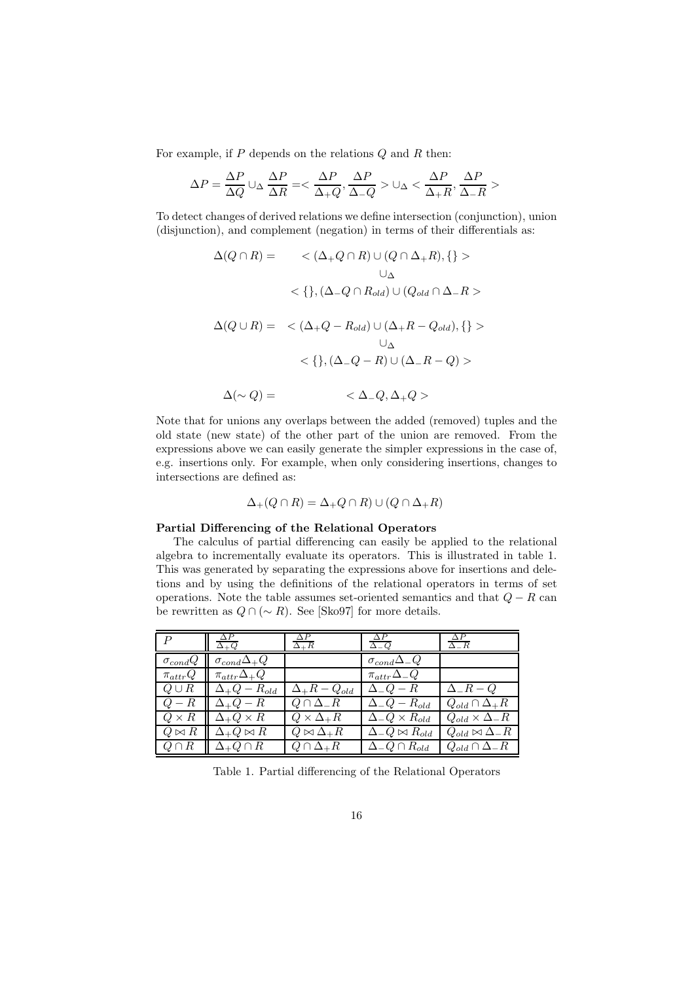For example, if  $P$  depends on the relations  $Q$  and  $R$  then:

$$
\Delta P = \frac{\Delta P}{\Delta Q} \cup_\Delta \frac{\Delta P}{\Delta R} = <\frac{\Delta P}{\Delta_+ Q}, \frac{\Delta P}{\Delta_- Q}> \cup_\Delta <\frac{\Delta P}{\Delta_+ R}, \frac{\Delta P}{\Delta_- R}>
$$

To detect changes of derived relations we define intersection (conjunction), union (disjunction), and complement (negation) in terms of their differentials as:

$$
\Delta(Q \cap R) = \langle (\Delta_{+}Q \cap R) \cup (Q \cap \Delta_{+}R), \{ \} \rangle
$$
  

$$
\cup_{\Delta}
$$
  

$$
\langle \{ \}, (\Delta_{-}Q \cap R_{old}) \cup (Q_{old} \cap \Delta_{-}R \rangle
$$
  

$$
\Delta(Q \cup R) = \langle (\Delta_{+}Q - R_{old}) \cup (\Delta_{+}R - Q_{old}), \{ \} \rangle
$$
  

$$
\cup_{\Delta}
$$
  

$$
\langle \{ \}, (\Delta_{-}Q - R) \cup (\Delta_{-}R - Q) \rangle
$$
  

$$
\Delta(\sim Q) = \langle \Delta_{-}Q, \Delta_{+}Q \rangle
$$

Note that for unions any overlaps between the added (removed) tuples and the old state (new state) of the other part of the union are removed. From the expressions above we can easily generate the simpler expressions in the case of, e.g. insertions only. For example, when only considering insertions, changes to intersections are defined as:

$$
\Delta_+(Q \cap R) = \Delta_+Q \cap R \cup (Q \cap \Delta_+R)
$$

## **Partial Differencing of the Relational Operators**

The calculus of partial differencing can easily be applied to the relational algebra to incrementally evaluate its operators. This is illustrated in table 1. This was generated by separating the expressions above for insertions and deletions and by using the definitions of the relational operators in terms of set operations. Note the table assumes set-oriented semantics and that  $Q - R$  can be rewritten as  $Q \cap (\sim R)$ . See [Sko97] for more details.

|                  | $\overline{\Delta_+ Q}$                      | $\overline{\Delta + R}$ | $\Delta-Q$                    | $\Delta P$<br>$\overline{\Delta - R}$ |
|------------------|----------------------------------------------|-------------------------|-------------------------------|---------------------------------------|
| $\sigma_{cond}Q$ | $\sigma_{cond}\Delta_+Q$                     |                         | $\sigma_{cond}\Delta_{-}Q$    |                                       |
| $\pi_{attr}Q$    | $\pi_{attr}\Delta_+Q$                        |                         | $\pi_{attr} \Delta_{-} Q$     |                                       |
|                  | $Q \cup R$ $\parallel \Delta_+ Q - R_{old}$  | $\Delta_+R-Q_{old}$     | $\Delta_{-}Q-R$               | $\overline{\Delta_-}R-Q$              |
|                  | $Q - R$ $\parallel \Delta_+ Q - R$           | $Q \cap \Delta_R$       | $\Delta_{-}Q-R_{old}$         | $Q_{old} \cap \Delta_+ R$             |
| $Q \times R$     | $\Delta_+ Q \times R$                        | $Q \times \Delta_+ R$   | $\Delta_{-}Q \times R_{old}$  | $Q_{old} \times \Delta_R$             |
|                  | $Q \bowtie R \parallel \Delta_+ Q \bowtie R$ | $Q \bowtie \Delta_+ R$  | $\Delta_{-}Q \bowtie R_{old}$ | $Q_{old} \bowtie \Delta_R$            |
|                  | $Q \cap R$ $\Delta_+ Q \cap R$               | $Q \cap \Delta_+ R$     | $\Delta_{-}Q \cap R_{old}$    | $Q_{old} \cap \Delta_R$               |

Table 1. Partial differencing of the Relational Operators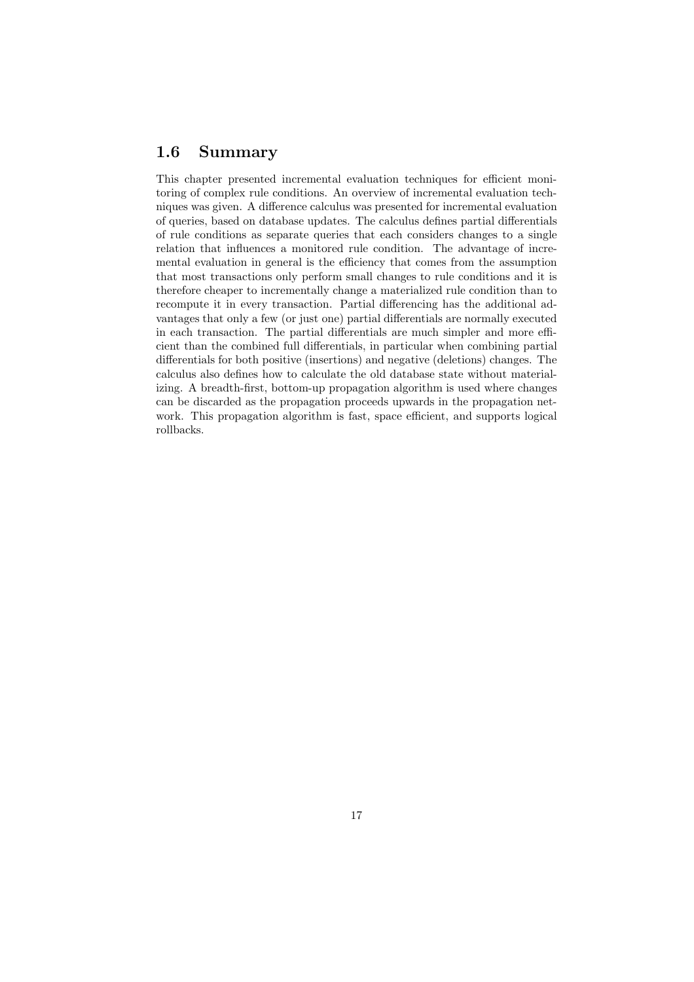## **1.6 Summary**

This chapter presented incremental evaluation techniques for efficient monitoring of complex rule conditions. An overview of incremental evaluation techniques was given. A difference calculus was presented for incremental evaluation of queries, based on database updates. The calculus defines partial differentials of rule conditions as separate queries that each considers changes to a single relation that influences a monitored rule condition. The advantage of incremental evaluation in general is the efficiency that comes from the assumption that most transactions only perform small changes to rule conditions and it is therefore cheaper to incrementally change a materialized rule condition than to recompute it in every transaction. Partial differencing has the additional advantages that only a few (or just one) partial differentials are normally executed in each transaction. The partial differentials are much simpler and more efficient than the combined full differentials, in particular when combining partial differentials for both positive (insertions) and negative (deletions) changes. The calculus also defines how to calculate the old database state without materializing. A breadth-first, bottom-up propagation algorithm is used where changes can be discarded as the propagation proceeds upwards in the propagation network. This propagation algorithm is fast, space efficient, and supports logical rollbacks.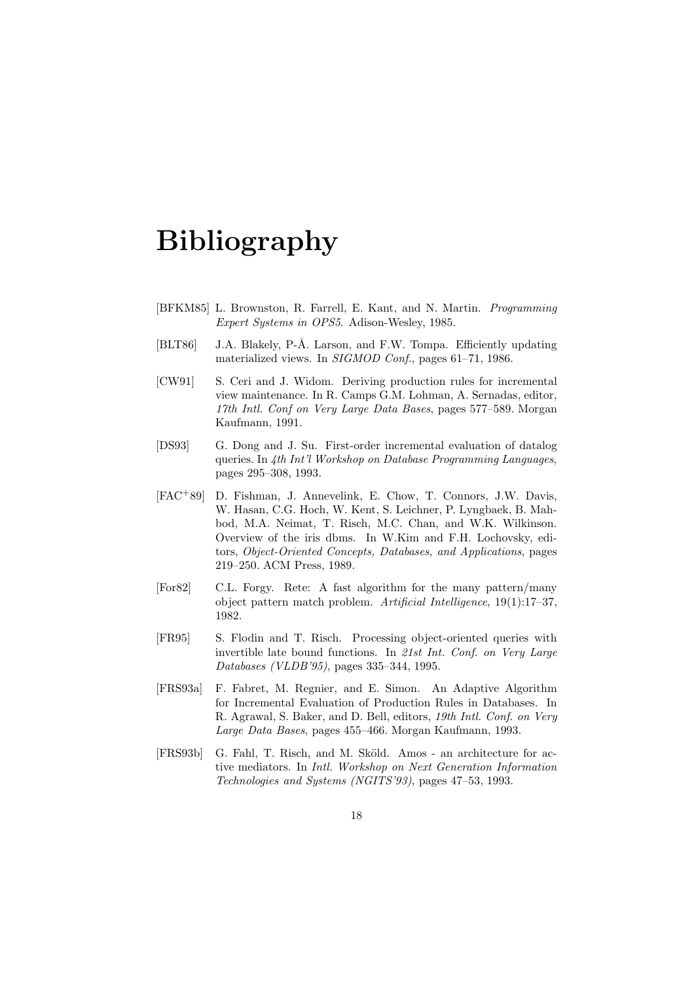## **Bibliography**

- [BFKM85] L. Brownston, R. Farrell, E. Kant, and N. Martin. *Programming Expert Systems in OPS5*. Adison-Wesley, 1985.
- [BLT86] J.A. Blakely, P-Å. Larson, and F.W. Tompa. Efficiently updating materialized views. In *SIGMOD Conf.*, pages 61–71, 1986.
- [CW91] S. Ceri and J. Widom. Deriving production rules for incremental view maintenance. In R. Camps G.M. Lohman, A. Sernadas, editor, *17th Intl. Conf on Very Large Data Bases*, pages 577–589. Morgan Kaufmann, 1991.
- [DS93] G. Dong and J. Su. First-order incremental evaluation of datalog queries. In *4th Int'l Workshop on Database Programming Languages*, pages 295–308, 1993.
- [FAC<sup>+</sup>89] D. Fishman, J. Annevelink, E. Chow, T. Connors, J.W. Davis, W. Hasan, C.G. Hoch, W. Kent, S. Leichner, P. Lyngbaek, B. Mahbod, M.A. Neimat, T. Risch, M.C. Chan, and W.K. Wilkinson. Overview of the iris dbms. In W.Kim and F.H. Lochovsky, editors, *Object-Oriented Concepts, Databases, and Applications*, pages 219–250. ACM Press, 1989.
- [For82] C.L. Forgy. Rete: A fast algorithm for the many pattern/many object pattern match problem. *Artificial Intelligence*, 19(1):17–37, 1982.
- [FR95] S. Flodin and T. Risch. Processing object-oriented queries with invertible late bound functions. In *21st Int. Conf. on Very Large Databases (VLDB'95)*, pages 335–344, 1995.
- [FRS93a] F. Fabret, M. Regnier, and E. Simon. An Adaptive Algorithm for Incremental Evaluation of Production Rules in Databases. In R. Agrawal, S. Baker, and D. Bell, editors, *19th Intl. Conf. on Very Large Data Bases*, pages 455–466. Morgan Kaufmann, 1993.
- [FRS93b] G. Fahl, T. Risch, and M. Sköld. Amos an architecture for active mediators. In *Intl. Workshop on Next Generation Information Technologies and Systems (NGITS'93)*, pages 47–53, 1993.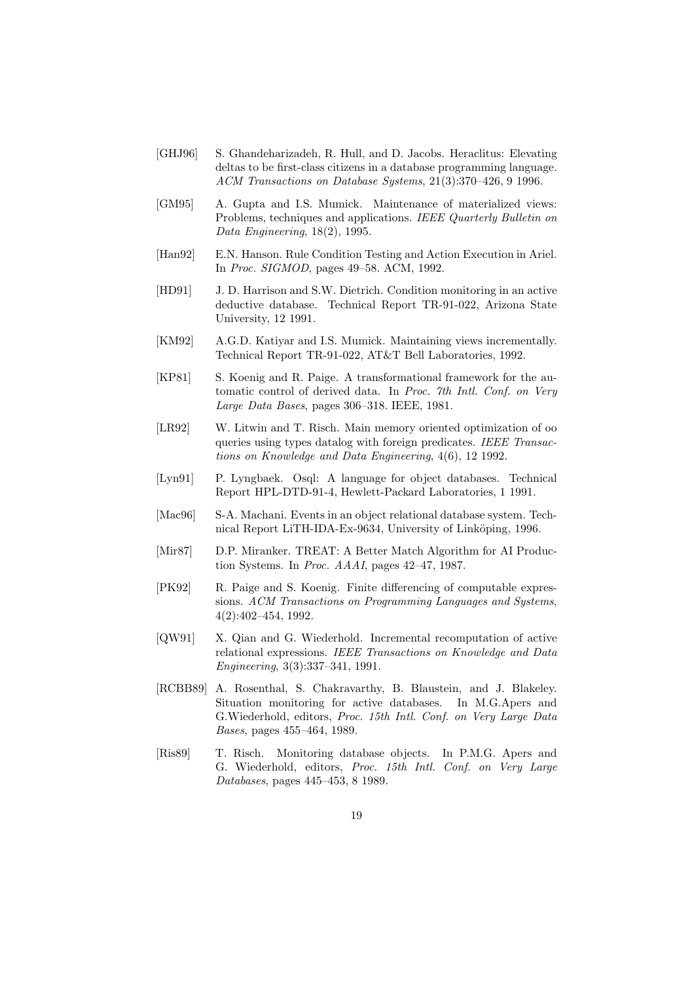- [GHJ96] S. Ghandeharizadeh, R. Hull, and D. Jacobs. Heraclitus: Elevating deltas to be first-class citizens in a database programming language. *ACM Transactions on Database Systems*, 21(3):370–426, 9 1996.
- [GM95] A. Gupta and I.S. Mumick. Maintenance of materialized views: Problems, techniques and applications. *IEEE Quarterly Bulletin on Data Engineering*, 18(2), 1995.
- [Han92] E.N. Hanson. Rule Condition Testing and Action Execution in Ariel. In *Proc. SIGMOD*, pages 49–58. ACM, 1992.
- [HD91] J. D. Harrison and S.W. Dietrich. Condition monitoring in an active deductive database. Technical Report TR-91-022, Arizona State University, 12 1991.
- [KM92] A.G.D. Katiyar and I.S. Mumick. Maintaining views incrementally. Technical Report TR-91-022, AT&T Bell Laboratories, 1992.
- [KP81] S. Koenig and R. Paige. A transformational framework for the automatic control of derived data. In *Proc. 7th Intl. Conf. on Very Large Data Bases*, pages 306–318. IEEE, 1981.
- [LR92] W. Litwin and T. Risch. Main memory oriented optimization of oo queries using types datalog with foreign predicates. *IEEE Transactions on Knowledge and Data Engineering*, 4(6), 12 1992.
- [Lyn91] P. Lyngbaek. Osql: A language for object databases. Technical Report HPL-DTD-91-4, Hewlett-Packard Laboratories, 1 1991.
- [Mac96] S-A. Machani. Events in an object relational database system. Technical Report LiTH-IDA-Ex-9634, University of Linköping, 1996.
- [Mir87] D.P. Miranker. TREAT: A Better Match Algorithm for AI Production Systems. In *Proc. AAAI*, pages 42–47, 1987.
- [PK92] R. Paige and S. Koenig. Finite differencing of computable expressions. *ACM Transactions on Programming Languages and Systems*, 4(2):402–454, 1992.
- [QW91] X. Qian and G. Wiederhold. Incremental recomputation of active relational expressions. *IEEE Transactions on Knowledge and Data Engineering*, 3(3):337–341, 1991.
- [RCBB89] A. Rosenthal, S. Chakravarthy, B. Blaustein, and J. Blakeley. Situation monitoring for active databases. In M.G.Apers and G.Wiederhold, editors, *Proc. 15th Intl. Conf. on Very Large Data Bases*, pages 455–464, 1989.
- [Ris89] T. Risch. Monitoring database objects. In P.M.G. Apers and G. Wiederhold, editors, *Proc. 15th Intl. Conf. on Very Large Databases*, pages 445–453, 8 1989.